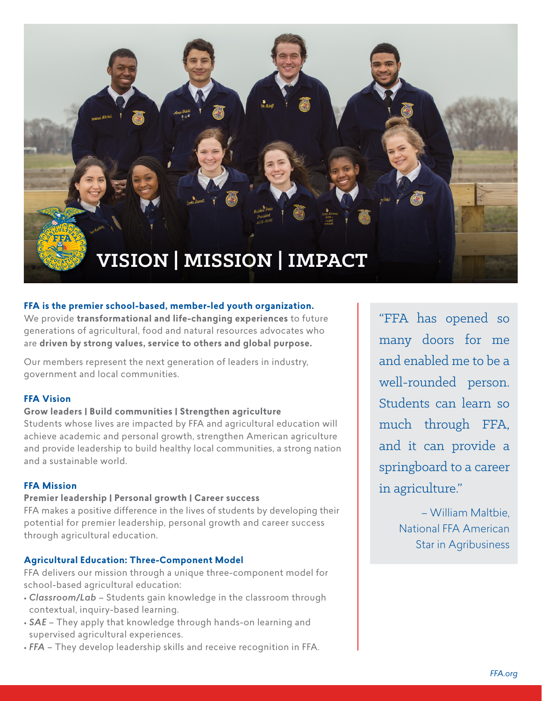

#### **FFA is the premier school-based, member-led youth organization.**

We provide **transformational and life-changing experiences** to future generations of agricultural, food and natural resources advocates who are **driven by strong values, service to others and global purpose.**

Our members represent the next generation of leaders in industry, government and local communities.

### **FFA Vision**

#### **Grow leaders | Build communities | Strengthen agriculture**

Students whose lives are impacted by FFA and agricultural education will achieve academic and personal growth, strengthen American agriculture and provide leadership to build healthy local communities, a strong nation and a sustainable world.

#### **FFA Mission**

#### **Premier leadership | Personal growth | Career success**

FFA makes a positive difference in the lives of students by developing their potential for premier leadership, personal growth and career success through agricultural education.

#### **Agricultural Education: Three-Component Model**

FFA delivers our mission through a unique three-component model for school-based agricultural education:

- *Classroom/Lab* Students gain knowledge in the classroom through contextual, inquiry-based learning.
- *SAE* They apply that knowledge through hands-on learning and supervised agricultural experiences.
- *FFA* They develop leadership skills and receive recognition in FFA.

"FFA has opened so many doors for me and enabled me to be a well-rounded person. Students can learn so much through FFA, and it can provide a springboard to a career in agriculture."

> – William Maltbie, National FFA American Star in Agribusiness